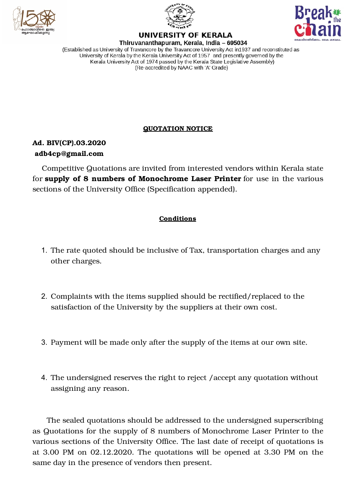





# **UNIVERSITY OF KERALA**

Thiruvananthapuram, Kerala, India - 695034 (Established as University of Travancore by the Travancore University Act in 1937 and reconstituted as University of Kerala by the Kerala University Act of 1957 and presently governed by the Kerala University Act of 1974 passed by the Kerala State Legislative Assembly) (Re-accredited by NAAC with 'A' Grade)

### **QUOTATION NOTICE**

## **Ad. BIV(CP).03.2020 adb4cp@gmail.com**

Competitive Quotations are invited from interested vendors within Kerala state for **supply of 8 numbers of Monochrome Laser Printer** for use in the various sections of the University Office (Specification appended).

### **Conditions**

- 1. The rate quoted should be inclusive of Tax, transportation charges and any other charges.
- 2. Complaints with the items supplied should be rectified/replaced to the satisfaction of the University by the suppliers at their own cost.
- 3. Payment will be made only after the supply of the items at our own site.
- 4. The undersigned reserves the right to reject /accept any quotation without assigning any reason.

The sealed quotations should be addressed to the undersigned superscribing as Quotations for the supply of 8 numbers of Monochrome Laser Printer to the various sections of the University Office. The last date of receipt of quotations is at 3.00 PM on 02.12.2020. The quotations will be opened at 3.30 PM on the same day in the presence of vendors then present.